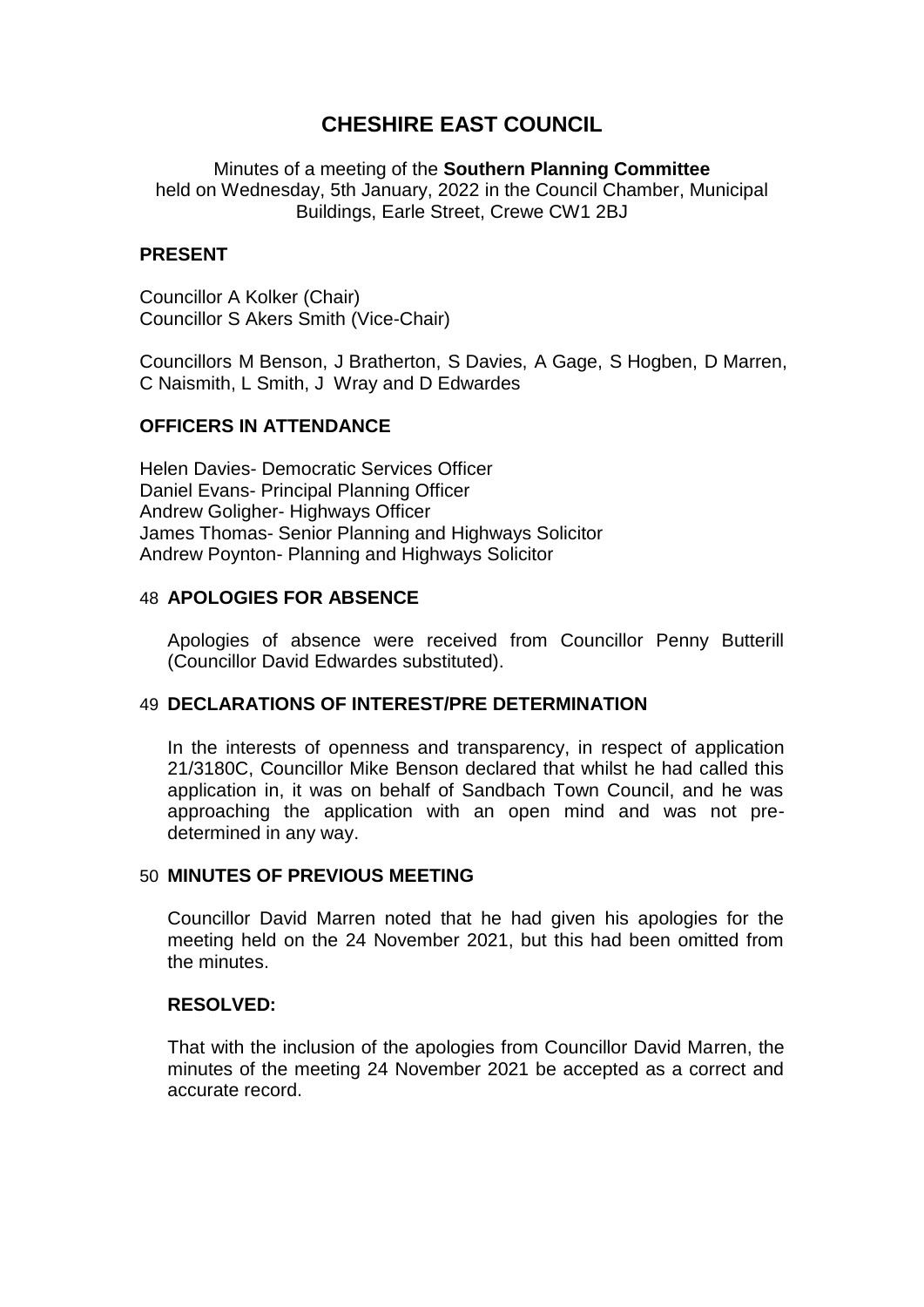# **CHESHIRE EAST COUNCIL**

Minutes of a meeting of the **Southern Planning Committee** held on Wednesday, 5th January, 2022 in the Council Chamber, Municipal Buildings, Earle Street, Crewe CW1 2BJ

#### **PRESENT**

Councillor A Kolker (Chair) Councillor S Akers Smith (Vice-Chair)

Councillors M Benson, J Bratherton, S Davies, A Gage, S Hogben, D Marren, C Naismith, L Smith, J Wray and D Edwardes

## **OFFICERS IN ATTENDANCE**

Helen Davies- Democratic Services Officer Daniel Evans- Principal Planning Officer Andrew Goligher- Highways Officer James Thomas- Senior Planning and Highways Solicitor Andrew Poynton- Planning and Highways Solicitor

#### 48 **APOLOGIES FOR ABSENCE**

Apologies of absence were received from Councillor Penny Butterill (Councillor David Edwardes substituted).

## 49 **DECLARATIONS OF INTEREST/PRE DETERMINATION**

In the interests of openness and transparency, in respect of application 21/3180C, Councillor Mike Benson declared that whilst he had called this application in, it was on behalf of Sandbach Town Council, and he was approaching the application with an open mind and was not predetermined in any way.

## 50 **MINUTES OF PREVIOUS MEETING**

Councillor David Marren noted that he had given his apologies for the meeting held on the 24 November 2021, but this had been omitted from the minutes.

#### **RESOLVED:**

That with the inclusion of the apologies from Councillor David Marren, the minutes of the meeting 24 November 2021 be accepted as a correct and accurate record.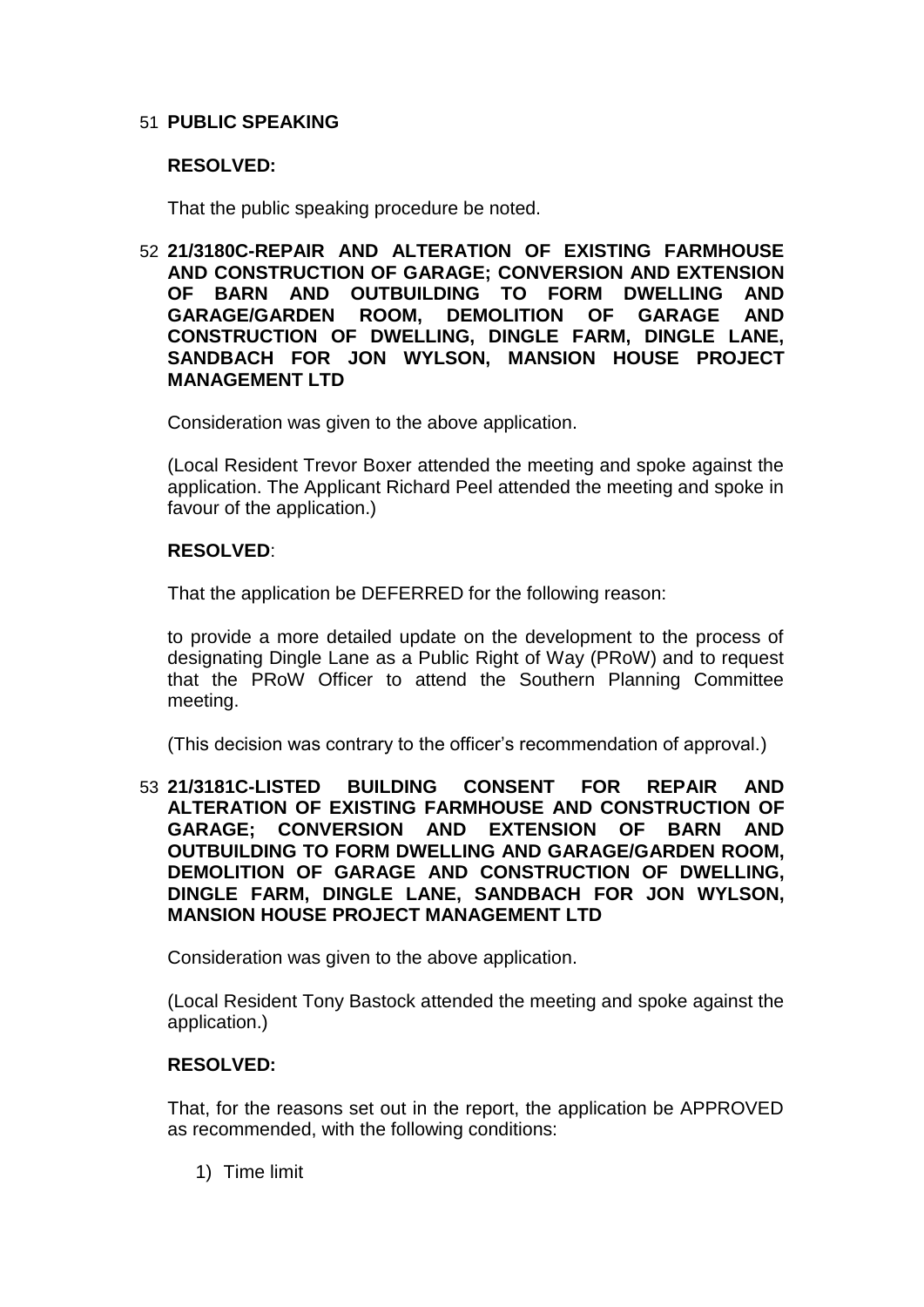# 51 **PUBLIC SPEAKING**

## **RESOLVED:**

That the public speaking procedure be noted.

52 **21/3180C-REPAIR AND ALTERATION OF EXISTING FARMHOUSE AND CONSTRUCTION OF GARAGE; CONVERSION AND EXTENSION OF BARN AND OUTBUILDING TO FORM DWELLING AND GARAGE/GARDEN ROOM, DEMOLITION OF GARAGE AND CONSTRUCTION OF DWELLING, DINGLE FARM, DINGLE LANE, SANDBACH FOR JON WYLSON, MANSION HOUSE PROJECT MANAGEMENT LTD**

Consideration was given to the above application.

(Local Resident Trevor Boxer attended the meeting and spoke against the application. The Applicant Richard Peel attended the meeting and spoke in favour of the application.)

## **RESOLVED**:

That the application be DEFERRED for the following reason:

to provide a more detailed update on the development to the process of designating Dingle Lane as a Public Right of Way (PRoW) and to request that the PRoW Officer to attend the Southern Planning Committee meeting.

(This decision was contrary to the officer's recommendation of approval.)

53 **21/3181C-LISTED BUILDING CONSENT FOR REPAIR AND ALTERATION OF EXISTING FARMHOUSE AND CONSTRUCTION OF GARAGE; CONVERSION AND EXTENSION OF BARN AND OUTBUILDING TO FORM DWELLING AND GARAGE/GARDEN ROOM, DEMOLITION OF GARAGE AND CONSTRUCTION OF DWELLING, DINGLE FARM, DINGLE LANE, SANDBACH FOR JON WYLSON, MANSION HOUSE PROJECT MANAGEMENT LTD**

Consideration was given to the above application.

(Local Resident Tony Bastock attended the meeting and spoke against the application.)

# **RESOLVED:**

That, for the reasons set out in the report, the application be APPROVED as recommended, with the following conditions:

1) Time limit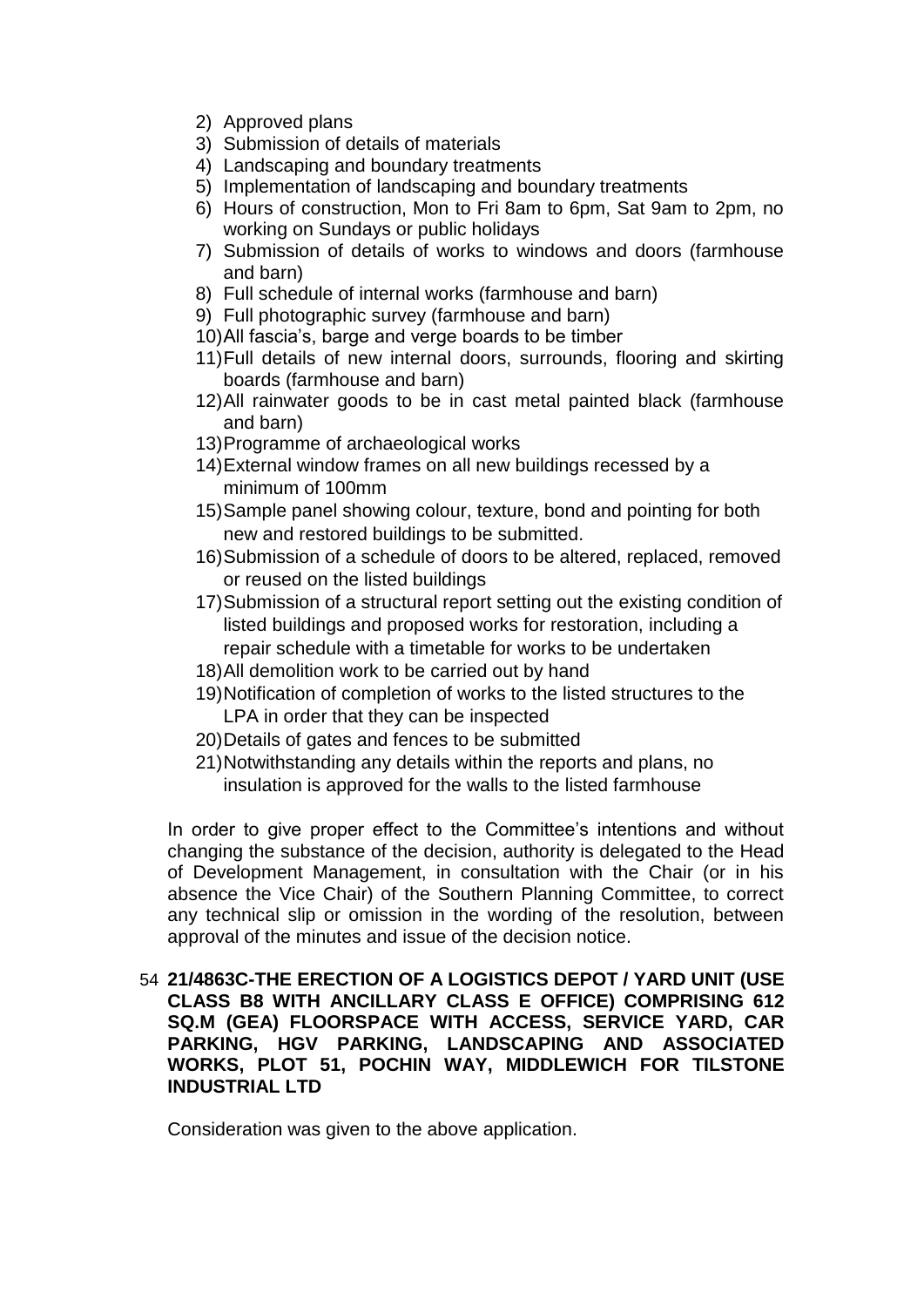- 2) Approved plans
- 3) Submission of details of materials
- 4) Landscaping and boundary treatments
- 5) Implementation of landscaping and boundary treatments
- 6) Hours of construction, Mon to Fri 8am to 6pm, Sat 9am to 2pm, no working on Sundays or public holidays
- 7) Submission of details of works to windows and doors (farmhouse and barn)
- 8) Full schedule of internal works (farmhouse and barn)
- 9) Full photographic survey (farmhouse and barn)
- 10)All fascia's, barge and verge boards to be timber
- 11)Full details of new internal doors, surrounds, flooring and skirting boards (farmhouse and barn)
- 12)All rainwater goods to be in cast metal painted black (farmhouse and barn)
- 13)Programme of archaeological works
- 14)External window frames on all new buildings recessed by a minimum of 100mm
- 15)Sample panel showing colour, texture, bond and pointing for both new and restored buildings to be submitted.
- 16)Submission of a schedule of doors to be altered, replaced, removed or reused on the listed buildings
- 17)Submission of a structural report setting out the existing condition of listed buildings and proposed works for restoration, including a repair schedule with a timetable for works to be undertaken
- 18)All demolition work to be carried out by hand
- 19)Notification of completion of works to the listed structures to the LPA in order that they can be inspected
- 20)Details of gates and fences to be submitted
- 21)Notwithstanding any details within the reports and plans, no insulation is approved for the walls to the listed farmhouse

In order to give proper effect to the Committee's intentions and without changing the substance of the decision, authority is delegated to the Head of Development Management, in consultation with the Chair (or in his absence the Vice Chair) of the Southern Planning Committee, to correct any technical slip or omission in the wording of the resolution, between approval of the minutes and issue of the decision notice.

54 **21/4863C-THE ERECTION OF A LOGISTICS DEPOT / YARD UNIT (USE CLASS B8 WITH ANCILLARY CLASS E OFFICE) COMPRISING 612 SQ.M (GEA) FLOORSPACE WITH ACCESS, SERVICE YARD, CAR PARKING, HGV PARKING, LANDSCAPING AND ASSOCIATED WORKS, PLOT 51, POCHIN WAY, MIDDLEWICH FOR TILSTONE INDUSTRIAL LTD**

Consideration was given to the above application.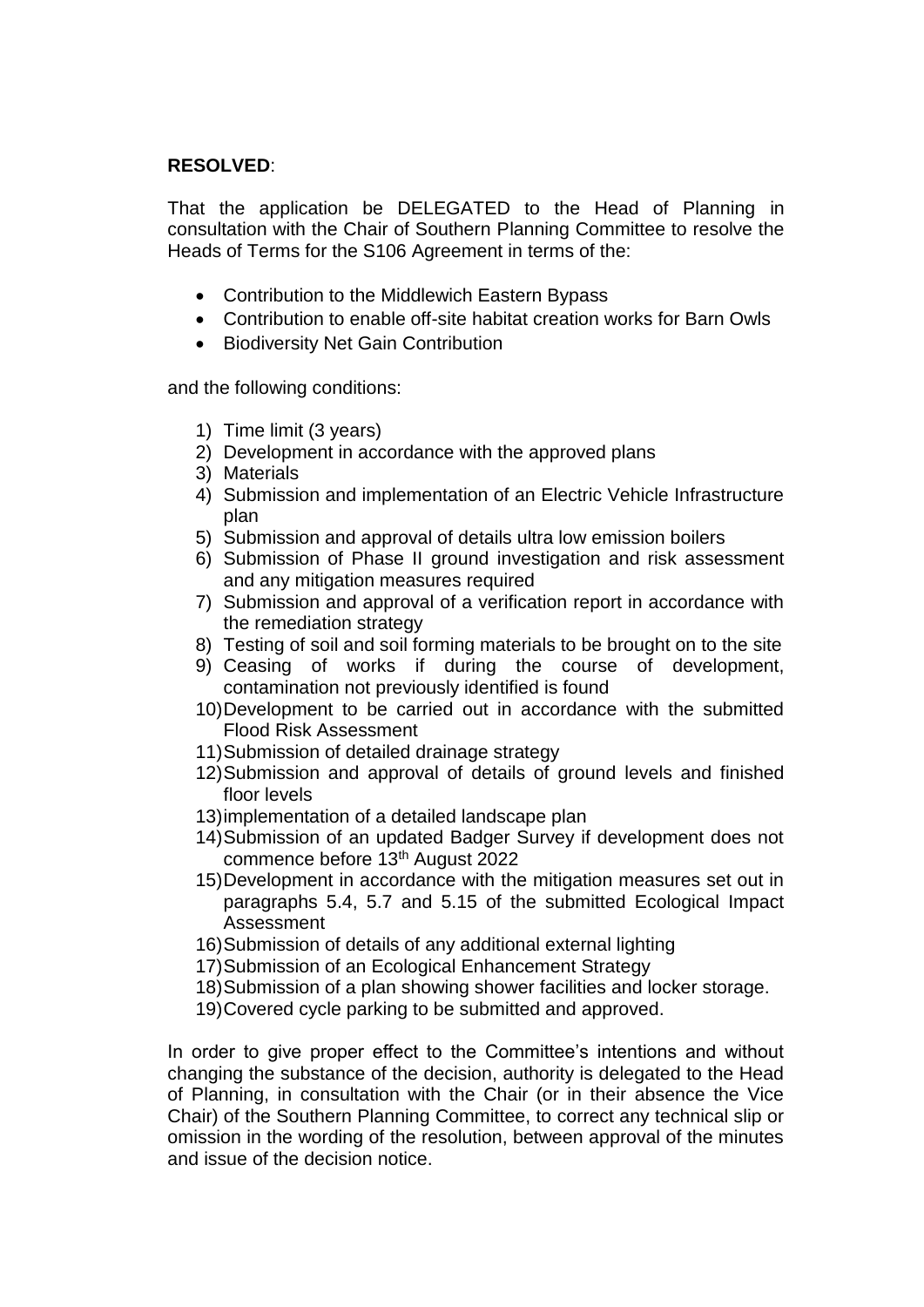# **RESOLVED**:

That the application be DELEGATED to the Head of Planning in consultation with the Chair of Southern Planning Committee to resolve the Heads of Terms for the S106 Agreement in terms of the:

- Contribution to the Middlewich Eastern Bypass
- Contribution to enable off-site habitat creation works for Barn Owls
- Biodiversity Net Gain Contribution

and the following conditions:

- 1) Time limit (3 years)
- 2) Development in accordance with the approved plans
- 3) Materials
- 4) Submission and implementation of an Electric Vehicle Infrastructure plan
- 5) Submission and approval of details ultra low emission boilers
- 6) Submission of Phase II ground investigation and risk assessment and any mitigation measures required
- 7) Submission and approval of a verification report in accordance with the remediation strategy
- 8) Testing of soil and soil forming materials to be brought on to the site
- 9) Ceasing of works if during the course of development, contamination not previously identified is found
- 10)Development to be carried out in accordance with the submitted Flood Risk Assessment
- 11)Submission of detailed drainage strategy
- 12)Submission and approval of details of ground levels and finished floor levels
- 13)implementation of a detailed landscape plan
- 14)Submission of an updated Badger Survey if development does not commence before 13<sup>th</sup> August 2022
- 15)Development in accordance with the mitigation measures set out in paragraphs 5.4, 5.7 and 5.15 of the submitted Ecological Impact Assessment
- 16)Submission of details of any additional external lighting
- 17)Submission of an Ecological Enhancement Strategy
- 18)Submission of a plan showing shower facilities and locker storage.
- 19)Covered cycle parking to be submitted and approved.

In order to give proper effect to the Committee's intentions and without changing the substance of the decision, authority is delegated to the Head of Planning, in consultation with the Chair (or in their absence the Vice Chair) of the Southern Planning Committee, to correct any technical slip or omission in the wording of the resolution, between approval of the minutes and issue of the decision notice.